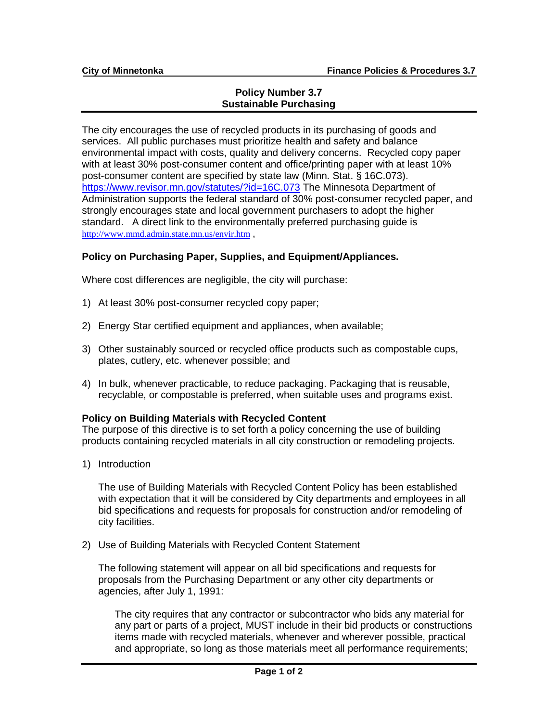## **Policy Number 3.7 Sustainable Purchasing**

The city encourages the use of recycled products in its purchasing of goods and services. All public purchases must prioritize health and safety and balance environmental impact with costs, quality and delivery concerns. Recycled copy paper with at least 30% post-consumer content and office/printing paper with at least 10% post-consumer content are specified by state law (Minn. Stat. § 16C.073). <https://www.revisor.mn.gov/statutes/?id=16C.073> The Minnesota Department of Administration supports the federal standard of 30% post-consumer recycled paper, and strongly encourages state and local government purchasers to adopt the higher standard. A direct link to the environmentally preferred purchasing guide is <http://www.mmd.admin.state.mn.us/envir.htm> ,

## **Policy on Purchasing Paper, Supplies, and Equipment/Appliances.**

Where cost differences are negligible, the city will purchase:

- 1) At least 30% post-consumer recycled copy paper;
- 2) Energy Star certified equipment and appliances, when available;
- 3) Other sustainably sourced or recycled office products such as compostable cups, plates, cutlery, etc. whenever possible; and
- 4) In bulk, whenever practicable, to reduce packaging. Packaging that is reusable, recyclable, or compostable is preferred, when suitable uses and programs exist.

## **Policy on Building Materials with Recycled Content**

The purpose of this directive is to set forth a policy concerning the use of building products containing recycled materials in all city construction or remodeling projects.

1) Introduction

The use of Building Materials with Recycled Content Policy has been established with expectation that it will be considered by City departments and employees in all bid specifications and requests for proposals for construction and/or remodeling of city facilities.

2) Use of Building Materials with Recycled Content Statement

The following statement will appear on all bid specifications and requests for proposals from the Purchasing Department or any other city departments or agencies, after July 1, 1991:

The city requires that any contractor or subcontractor who bids any material for any part or parts of a project, MUST include in their bid products or constructions items made with recycled materials, whenever and wherever possible, practical and appropriate, so long as those materials meet all performance requirements;